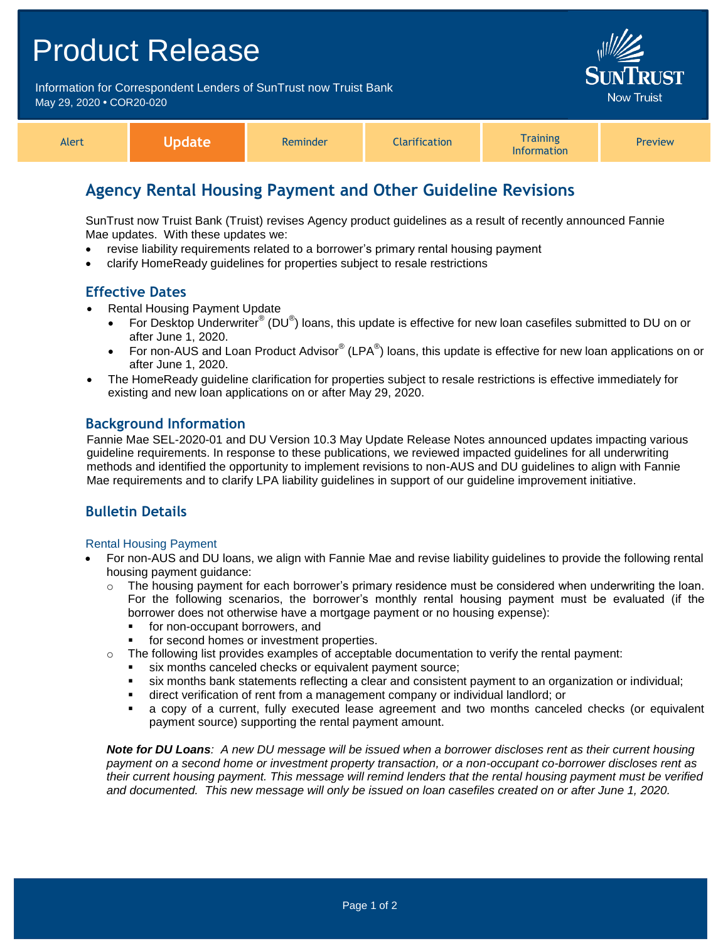## Product Release

Information for Correspondent Lenders of SunTrust now Truist Bank May 29, 2020 **•** COR20-020



| Alert | Vpdate | Reminder | <b>Clarification</b> | <b>Fraining</b><br>Information | <b>Preview</b> |
|-------|--------|----------|----------------------|--------------------------------|----------------|
|-------|--------|----------|----------------------|--------------------------------|----------------|

## **Agency Rental Housing Payment and Other Guideline Revisions**

SunTrust now Truist Bank (Truist) revises Agency product guidelines as a result of recently announced Fannie Mae updates. With these updates we:

- revise liability requirements related to a borrower's primary rental housing payment
- clarify HomeReady guidelines for properties subject to resale restrictions

## **Effective Dates**

- Rental Housing Payment Update
	- For Desktop Underwriter<sup>®</sup> (DU<sup>®</sup>) loans, this update is effective for new loan casefiles submitted to DU on or after June 1, 2020.
	- For non-AUS and Loan Product Advisor® (LPA®) loans, this update is effective for new loan applications on or after June 1, 2020.
- The HomeReady guideline clarification for properties subject to resale restrictions is effective immediately for existing and new loan applications on or after May 29, 2020.

## **Background Information**

Fannie Mae SEL-2020-01 and DU Version 10.3 May Update Release Notes announced updates impacting various guideline requirements. In response to these publications, we reviewed impacted guidelines for all underwriting methods and identified the opportunity to implement revisions to non-AUS and DU guidelines to align with Fannie Mae requirements and to clarify LPA liability guidelines in support of our guideline improvement initiative.

## **Bulletin Details**

#### Rental Housing Payment

- For non-AUS and DU loans, we align with Fannie Mae and revise liability guidelines to provide the following rental housing payment guidance:
	- $\circ$  The housing payment for each borrower's primary residence must be considered when underwriting the loan. For the following scenarios, the borrower's monthly rental housing payment must be evaluated (if the borrower does not otherwise have a mortgage payment or no housing expense):
		- **for non-occupant borrowers, and**
		- for second homes or investment properties.
	- $\circ$  The following list provides examples of acceptable documentation to verify the rental payment:
		- six months canceled checks or equivalent payment source;
		- six months bank statements reflecting a clear and consistent payment to an organization or individual;
		- direct verification of rent from a management company or individual landlord; or
		- a copy of a current, fully executed lease agreement and two months canceled checks (or equivalent payment source) supporting the rental payment amount.

*Note for DU Loans: A new DU message will be issued when a borrower discloses rent as their current housing payment on a second home or investment property transaction, or a non-occupant co-borrower discloses rent as their current housing payment. This message will remind lenders that the rental housing payment must be verified and documented. This new message will only be issued on loan casefiles created on or after June 1, 2020.*